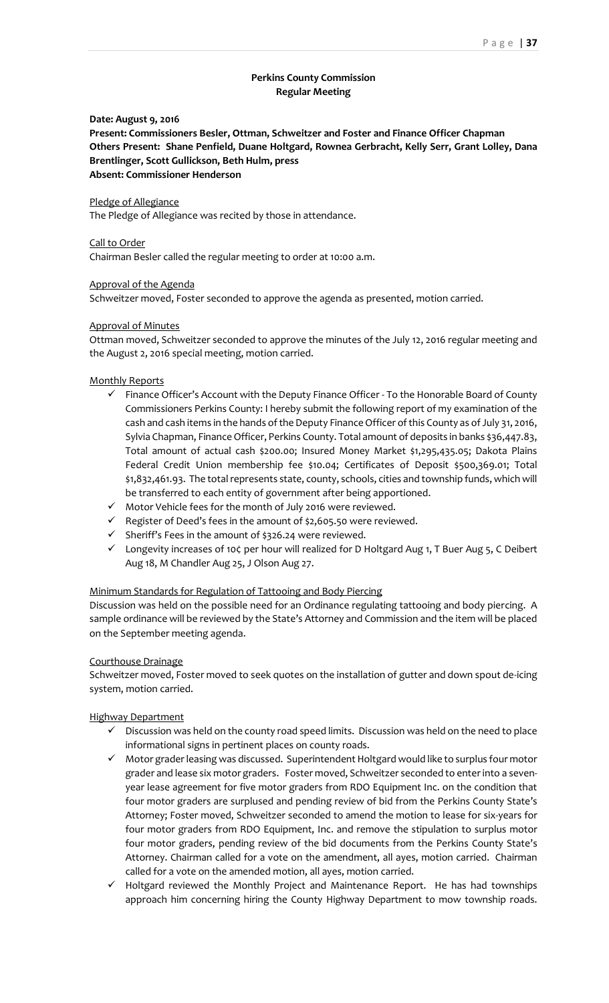# **Perkins County Commission Regular Meeting**

## **Date: August 9, 2016**

**Present: Commissioners Besler, Ottman, Schweitzer and Foster and Finance Officer Chapman Others Present: Shane Penfield, Duane Holtgard, Rownea Gerbracht, Kelly Serr, Grant Lolley, Dana Brentlinger, Scott Gullickson, Beth Hulm, press Absent: Commissioner Henderson**

#### Pledge of Allegiance

The Pledge of Allegiance was recited by those in attendance.

#### Call to Order

Chairman Besler called the regular meeting to order at 10:00 a.m.

#### Approval of the Agenda

Schweitzer moved, Foster seconded to approve the agenda as presented, motion carried.

#### Approval of Minutes

Ottman moved, Schweitzer seconded to approve the minutes of the July 12, 2016 regular meeting and the August 2, 2016 special meeting, motion carried.

#### Monthly Reports

- $\checkmark$  Finance Officer's Account with the Deputy Finance Officer To the Honorable Board of County Commissioners Perkins County: I hereby submit the following report of my examination of the cash and cash items in the hands of the Deputy Finance Officer of this County as of July 31, 2016, Sylvia Chapman, Finance Officer, Perkins County. Total amount of deposits in banks \$36,447.83, Total amount of actual cash \$200.00; Insured Money Market \$1,295,435.05; Dakota Plains Federal Credit Union membership fee \$10.04; Certificates of Deposit \$500,369.01; Total \$1,832,461.93. The total represents state, county, schools, cities and township funds, which will be transferred to each entity of government after being apportioned.
- $\checkmark$  Motor Vehicle fees for the month of July 2016 were reviewed.
- $\checkmark$  Register of Deed's fees in the amount of \$2,605.50 were reviewed.
- $\checkmark$  Sheriff's Fees in the amount of \$326.24 were reviewed.
- $\checkmark$  Longevity increases of 10 $\zeta$  per hour will realized for D Holtgard Aug 1, T Buer Aug 5, C Deibert Aug 18, M Chandler Aug 25, J Olson Aug 27.

#### Minimum Standards for Regulation of Tattooing and Body Piercing

Discussion was held on the possible need for an Ordinance regulating tattooing and body piercing. A sample ordinance will be reviewed by the State's Attorney and Commission and the item will be placed on the September meeting agenda.

#### Courthouse Drainage

Schweitzer moved, Foster moved to seek quotes on the installation of gutter and down spout de-icing system, motion carried.

## Highway Department

- $\checkmark$  Discussion was held on the county road speed limits. Discussion was held on the need to place informational signs in pertinent places on county roads.
- $\checkmark$  Motor grader leasing was discussed. Superintendent Holtgard would like to surplus four motor grader and lease six motor graders. Foster moved, Schweitzer seconded to enter into a sevenyear lease agreement for five motor graders from RDO Equipment Inc. on the condition that four motor graders are surplused and pending review of bid from the Perkins County State's Attorney; Foster moved, Schweitzer seconded to amend the motion to lease for six-years for four motor graders from RDO Equipment, Inc. and remove the stipulation to surplus motor four motor graders, pending review of the bid documents from the Perkins County State's Attorney. Chairman called for a vote on the amendment, all ayes, motion carried. Chairman called for a vote on the amended motion, all ayes, motion carried.
- $\checkmark$  Holtgard reviewed the Monthly Project and Maintenance Report. He has had townships approach him concerning hiring the County Highway Department to mow township roads.